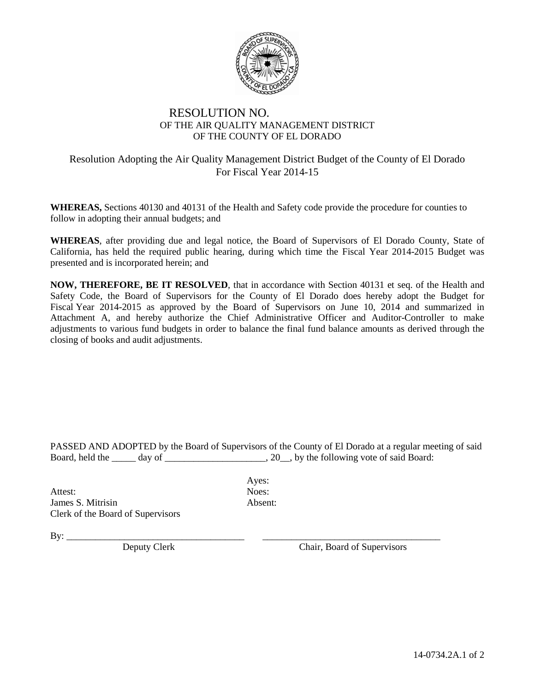

## RESOLUTION NO. OF THE AIR QUALITY MANAGEMENT DISTRICT OF THE COUNTY OF EL DORADO

## Resolution Adopting the Air Quality Management District Budget of the County of El Dorado For Fiscal Year 2014-15

**WHEREAS,** Sections 40130 and 40131 of the Health and Safety code provide the procedure for counties to follow in adopting their annual budgets; and

**WHEREAS**, after providing due and legal notice, the Board of Supervisors of El Dorado County, State of California, has held the required public hearing, during which time the Fiscal Year 2014-2015 Budget was presented and is incorporated herein; and

**NOW, THEREFORE, BE IT RESOLVED**, that in accordance with Section 40131 et seq. of the Health and Safety Code, the Board of Supervisors for the County of El Dorado does hereby adopt the Budget for Fiscal Year 2014-2015 as approved by the Board of Supervisors on June 10, 2014 and summarized in Attachment A, and hereby authorize the Chief Administrative Officer and Auditor-Controller to make adjustments to various fund budgets in order to balance the final fund balance amounts as derived through the closing of books and audit adjustments.

PASSED AND ADOPTED by the Board of Supervisors of the County of El Dorado at a regular meeting of said Board, held the day of  $\qquad \qquad$  20 , by the following vote of said Board:

Attest: Noes: James S. Mitrisin Absent: Clerk of the Board of Supervisors

Ayes:

By: \_\_\_\_\_\_\_\_\_\_\_\_\_\_\_\_\_\_\_\_\_\_\_\_\_\_\_\_\_\_\_\_\_\_\_\_\_ \_\_\_\_\_\_\_\_\_\_\_\_\_\_\_\_\_\_\_\_\_\_\_\_\_\_\_\_\_\_\_\_\_\_\_\_\_

Chair, Board of Supervisors